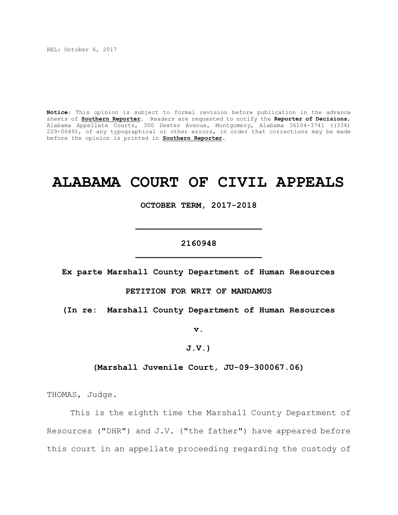REL: October 6, 2017

**Notice**: This opinion is subject to formal revision before publication in the advance sheets of **Southern Reporter**. Readers are requested to notify the **Reporter of Decisions**, Alabama Appellate Courts, 300 Dexter Avenue, Montgomery, Alabama 36104-3741 ((334) 229-0649), of any typographical or other errors, in order that corrections may be made before the opinion is printed in **Southern Reporter**.

# **ALABAMA COURT OF CIVIL APPEALS**

**OCTOBER TERM, 2017-2018**

## **2160948 \_\_\_\_\_\_\_\_\_\_\_\_\_\_\_\_\_\_\_\_\_\_\_\_\_**

**\_\_\_\_\_\_\_\_\_\_\_\_\_\_\_\_\_\_\_\_\_\_\_\_\_**

**Ex parte Marshall County Department of Human Resources**

**PETITION FOR WRIT OF MANDAMUS**

**(In re: Marshall County Department of Human Resources**

**v.**

## **J.V.)**

### **(Marshall Juvenile Court, JU-09-300067.06)**

THOMAS, Judge.

This is the eighth time the Marshall County Department of Resources ("DHR") and J.V. ("the father") have appeared before this court in an appellate proceeding regarding the custody of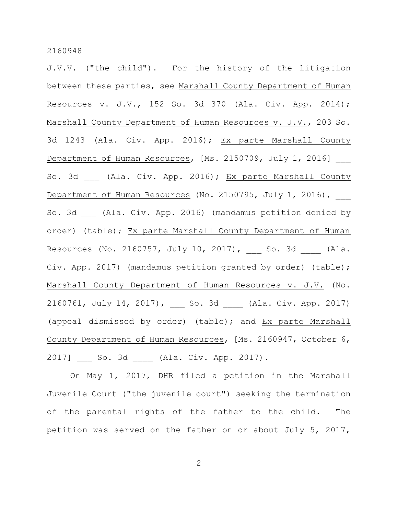J.V.V. ("the child"). For the history of the litigation between these parties, see Marshall County Department of Human Resources v. J.V., 152 So. 3d 370 (Ala. Civ. App. 2014); Marshall County Department of Human Resources v. J.V., 203 So. 3d 1243 (Ala. Civ. App. 2016); Ex parte Marshall County Department of Human Resources, [Ms. 2150709, July 1, 2016] So. 3d (Ala. Civ. App. 2016); Ex parte Marshall County Department of Human Resources (No. 2150795, July 1, 2016), So. 3d (Ala. Civ. App. 2016) (mandamus petition denied by order) (table); Ex parte Marshall County Department of Human Resources (No. 2160757, July 10, 2017), \_\_\_ So. 3d \_\_\_ (Ala. Civ. App. 2017) (mandamus petition granted by order) (table); Marshall County Department of Human Resources v. J.V. (No. 2160761, July 14, 2017), So. 3d (Ala. Civ. App. 2017) (appeal dismissed by order) (table); and Ex parte Marshall County Department of Human Resources, [Ms. 2160947, October 6, 2017] \_\_\_ So. 3d \_\_\_\_ (Ala. Civ. App. 2017).

On May 1, 2017, DHR filed a petition in the Marshall Juvenile Court ("the juvenile court") seeking the termination of the parental rights of the father to the child. The petition was served on the father on or about July 5, 2017,

2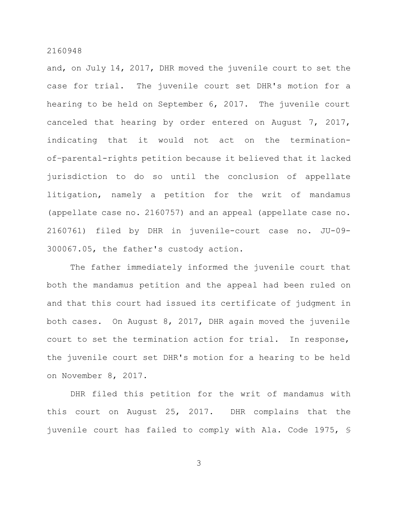and, on July 14, 2017, DHR moved the juvenile court to set the case for trial. The juvenile court set DHR's motion for a hearing to be held on September 6, 2017. The juvenile court canceled that hearing by order entered on August 7, 2017, indicating that it would not act on the terminationof–parental-rights petition because it believed that it lacked jurisdiction to do so until the conclusion of appellate litigation, namely a petition for the writ of mandamus (appellate case no. 2160757) and an appeal (appellate case no. 2160761) filed by DHR in juvenile-court case no. JU-09- 300067.05, the father's custody action.

The father immediately informed the juvenile court that both the mandamus petition and the appeal had been ruled on and that this court had issued its certificate of judgment in both cases. On August 8, 2017, DHR again moved the juvenile court to set the termination action for trial. In response, the juvenile court set DHR's motion for a hearing to be held on November 8, 2017.

DHR filed this petition for the writ of mandamus with this court on August 25, 2017. DHR complains that the juvenile court has failed to comply with Ala. Code 1975, §

3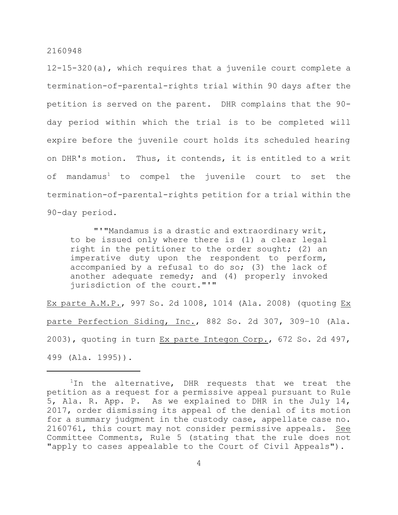12-15-320(a), which requires that a juvenile court complete a termination-of-parental-rights trial within 90 days after the petition is served on the parent. DHR complains that the 90 day period within which the trial is to be completed will expire before the juvenile court holds its scheduled hearing on DHR's motion. Thus, it contends, it is entitled to a writ of mandamus<sup>1</sup> to compel the juvenile court to set the termination-of-parental-rights petition for a trial within the 90-day period.

"'"Mandamus is a drastic and extraordinary writ, to be issued only where there is (1) a clear legal right in the petitioner to the order sought; (2) an imperative duty upon the respondent to perform, accompanied by a refusal to do so; (3) the lack of another adequate remedy; and (4) properly invoked jurisdiction of the court."'"

Ex parte A.M.P., 997 So. 2d 1008, 1014 (Ala. 2008) (quoting Ex parte Perfection Siding, Inc., 882 So. 2d 307, 309–10 (Ala. 2003), quoting in turn Ex parte Integon Corp., 672 So. 2d 497, 499 (Ala. 1995)).

 $1$ In the alternative, DHR requests that we treat the petition as a request for a permissive appeal pursuant to Rule 5, Ala. R. App. P. As we explained to DHR in the July 14, 2017, order dismissing its appeal of the denial of its motion for a summary judgment in the custody case, appellate case no. 2160761, this court may not consider permissive appeals. See Committee Comments, Rule 5 (stating that the rule does not "apply to cases appealable to the Court of Civil Appeals").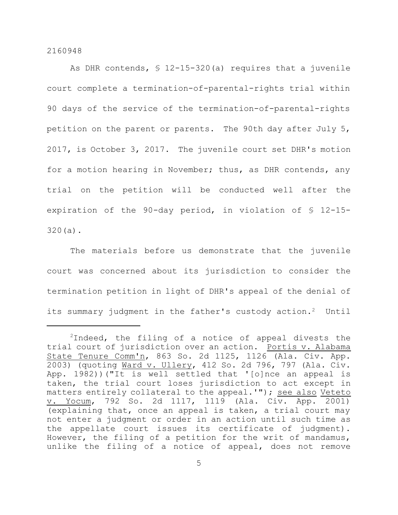As DHR contends, § 12-15-320(a) requires that a juvenile court complete a termination-of-parental-rights trial within 90 days of the service of the termination-of-parental-rights petition on the parent or parents. The 90th day after July 5, 2017, is October 3, 2017. The juvenile court set DHR's motion for a motion hearing in November; thus, as DHR contends, any trial on the petition will be conducted well after the expiration of the 90-day period, in violation of § 12-15- 320(a).

The materials before us demonstrate that the juvenile court was concerned about its jurisdiction to consider the termination petition in light of DHR's appeal of the denial of its summary judgment in the father's custody action.<sup>2</sup> Until

 $2$ Indeed, the filing of a notice of appeal divests the trial court of jurisdiction over an action. Portis v. Alabama State Tenure Comm'n, 863 So. 2d 1125, 1126 (Ala. Civ. App. 2003) (quoting Ward v. Ullery, 412 So. 2d 796, 797 (Ala. Civ. App. 1982))("It is well settled that '[o]nce an appeal is taken, the trial court loses jurisdiction to act except in matters entirely collateral to the appeal.'"); see also Veteto v. Yocum, 792 So. 2d 1117, 1119 (Ala. Civ. App. 2001) (explaining that, once an appeal is taken, a trial court may not enter a judgment or order in an action until such time as the appellate court issues its certificate of judgment). However, the filing of a petition for the writ of mandamus, unlike the filing of a notice of appeal, does not remove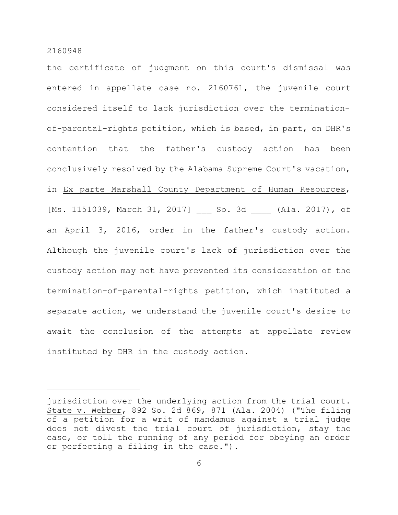the certificate of judgment on this court's dismissal was entered in appellate case no. 2160761, the juvenile court considered itself to lack jurisdiction over the terminationof-parental-rights petition, which is based, in part, on DHR's contention that the father's custody action has been conclusively resolved by the Alabama Supreme Court's vacation, in Ex parte Marshall County Department of Human Resources, [Ms. 1151039, March 31, 2017] \_\_ So. 3d (Ala. 2017), of an April 3, 2016, order in the father's custody action. Although the juvenile court's lack of jurisdiction over the custody action may not have prevented its consideration of the termination-of-parental-rights petition, which instituted a separate action, we understand the juvenile court's desire to await the conclusion of the attempts at appellate review instituted by DHR in the custody action.

jurisdiction over the underlying action from the trial court. State v. Webber, 892 So. 2d 869, 871 (Ala. 2004) ("The filing of a petition for a writ of mandamus against a trial judge does not divest the trial court of jurisdiction, stay the case, or toll the running of any period for obeying an order or perfecting a filing in the case.").